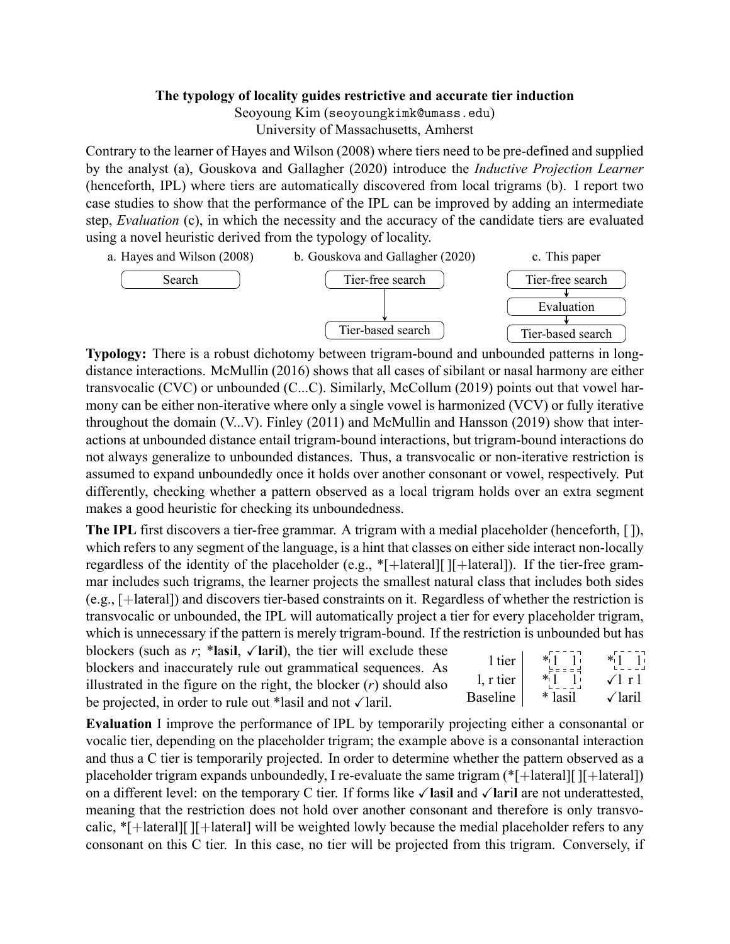## **The typology of locality guides restrictive and accurate tier induction**

Seoyoung Kim (seoyoungkimk@umass.edu)

University of Massachusetts, Amherst

Contrary to the learner of Hayes and Wilson (2008) where tiers need to be pre-defined and supplied by the analyst (a), Gouskova and Gallagher (2020) introduce the *Inductive Projection Learner* (henceforth, IPL) where tiers are automatically discovered from local trigrams (b). I report two case studies to show that the performance of the IPL can be improved by adding an intermediate step, *Evaluation* (c), in which the necessity and the accuracy of the candidate tiers are evaluated using a novel heuristic derived from the typology of locality.



**Typology:** There is a robust dichotomy between trigram-bound and unbounded patterns in longdistance interactions. McMullin (2016) shows that all cases of sibilant or nasal harmony are either transvocalic (CVC) or unbounded (C...C). Similarly, McCollum (2019) points out that vowel harmony can be either non-iterative where only a single vowel is harmonized (VCV) or fully iterative throughout the domain (V...V). Finley (2011) and McMullin and Hansson (2019) show that interactions at unbounded distance entail trigram-bound interactions, but trigram-bound interactions do not always generalize to unbounded distances. Thus, a transvocalic or non-iterative restriction is assumed to expand unboundedly once it holds over another consonant or vowel, respectively. Put differently, checking whether a pattern observed as a local trigram holds over an extra segment makes a good heuristic for checking its unboundedness.

**The IPL** first discovers a tier-free grammar. A trigram with a medial placeholder (henceforth, []), which refers to any segment of the language, is a hint that classes on either side interact non-locally regardless of the identity of the placeholder (e.g.,  $*$ [+lateral][ ][+lateral]). If the tier-free grammar includes such trigrams, the learner projects the smallest natural class that includes both sides  $(e.g., [+lateral])$  and discovers tier-based constraints on it. Regardless of whether the restriction is transvocalic or unbounded, the IPL will automatically project a tier for every placeholder trigram, which is unnecessary if the pattern is merely trigram-bound. If the restriction is unbounded but has

| blockers (such as r; *lasil, $\sqrt{ \mathbf{r} }$ ), the tier will exclude these |           | $*1 - 1$               |                                                                  |
|-----------------------------------------------------------------------------------|-----------|------------------------|------------------------------------------------------------------|
| blockers and inaccurately rule out grammatical sequences. As                      | 1 tier    | エピュピュ                  | $\ast \left[ \begin{matrix} 1 & 1 \\ 1 & 1 \end{matrix} \right]$ |
| illustrated in the figure on the right, the blocker $(r)$ should also             | 1, r tier | $\ast \prod_{i=1}^{n}$ | $\sqrt{1}$ r 1                                                   |
| be projected, in order to rule out *lasil and not $\sqrt{\arctan^2}$              | Baseline  | * lasil                | $\sqrt{2}$ laril                                                 |

**Evaluation** I improve the performance of IPL by temporarily projecting either a consonantal or vocalic tier, depending on the placeholder trigram; the example above is a consonantal interaction and thus a C tier is temporarily projected. In order to determine whether the pattern observed as a placeholder trigram expands unboundedly, I re-evaluate the same trigram  $(*[+| \text{ateral} | [[+| \text{ateral}]])$ on a different level: on the temporary C tier. If forms like ✓**l**a**s**i**l** and ✓**l**a**r**i**l** are not underattested, meaning that the restriction does not hold over another consonant and therefore is only transvocalic, \*[+lateral][ ][+lateral] will be weighted lowly because the medial placeholder refers to any consonant on this C tier. In this case, no tier will be projected from this trigram. Conversely, if